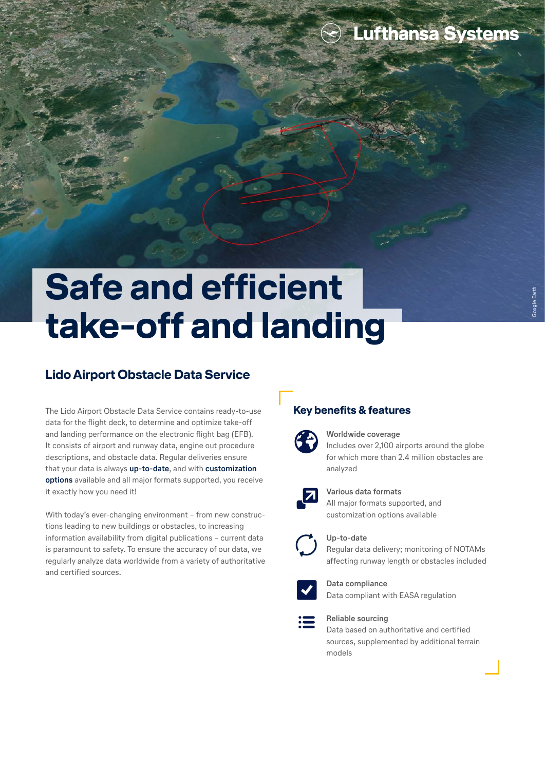### **Lufthansa Systems**

# **Safe and efficient take-off and landing**

#### **Lido Airport Obstacle Data Service**

The Lido Airport Obstacle Data Service contains ready-to-use data for the flight deck, to determine and optimize take-off and landing performance on the electronic flight bag (EFB). It consists of airport and runway data, engine out procedure descriptions, and obstacle data. Regular deliveries ensure that your data is always **up-to-date**, and with **customization options** available and all major formats supported, you receive it exactly how you need it!

With today's ever-changing environment – from new constructions leading to new buildings or obstacles, to increasing information availability from digital publications – current data is paramount to safety. To ensure the accuracy of our data, we regularly analyze data worldwide from a variety of authoritative and certified sources.

#### **Key benefits & features**



#### **Worldwide coverage**

Includes over 2,100 airports around the globe for which more than 2.4 million obstacles are analyzed



#### **Various data formats**

All major formats supported, and customization options available



#### **Up-to-date**

Regular data delivery; monitoring of NOTAMs affecting runway length or obstacles included



**Data compliance** Data compliant with EASA regulation



#### **Reliable sourcing**

Data based on authoritative and certified sources, supplemented by additional terrain models